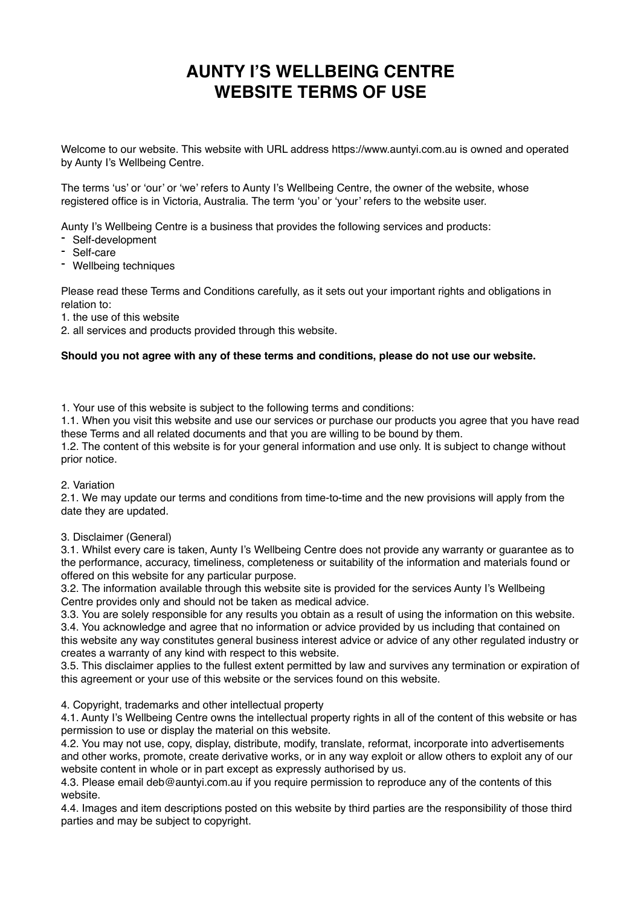# **AUNTY I'S WELLBEING CENTRE WEBSITE TERMS OF USE**

Welcome to our website. This website with URL address https://www.auntyi.com.au is owned and operated by Aunty I's Wellbeing Centre.

The terms 'us' or 'our' or 'we' refers to Aunty I's Wellbeing Centre, the owner of the website, whose registered office is in Victoria, Australia. The term 'you' or 'your' refers to the website user.

Aunty I's Wellbeing Centre is a business that provides the following services and products:

- Self-development
- Self-care
- Wellbeing techniques

Please read these Terms and Conditions carefully, as it sets out your important rights and obligations in relation to:

1. the use of this website

2. all services and products provided through this website.

#### **Should you not agree with any of these terms and conditions, please do not use our website.**

1. Your use of this website is subject to the following terms and conditions:

1.1. When you visit this website and use our services or purchase our products you agree that you have read these Terms and all related documents and that you are willing to be bound by them.

1.2. The content of this website is for your general information and use only. It is subject to change without prior notice.

#### 2. Variation

2.1. We may update our terms and conditions from time-to-time and the new provisions will apply from the date they are updated.

## 3. Disclaimer (General)

3.1. Whilst every care is taken, Aunty I's Wellbeing Centre does not provide any warranty or guarantee as to the performance, accuracy, timeliness, completeness or suitability of the information and materials found or offered on this website for any particular purpose.

3.2. The information available through this website site is provided for the services Aunty I's Wellbeing Centre provides only and should not be taken as medical advice.

3.3. You are solely responsible for any results you obtain as a result of using the information on this website.

3.4. You acknowledge and agree that no information or advice provided by us including that contained on this website any way constitutes general business interest advice or advice of any other regulated industry or

creates a warranty of any kind with respect to this website.

3.5. This disclaimer applies to the fullest extent permitted by law and survives any termination or expiration of this agreement or your use of this website or the services found on this website.

4. Copyright, trademarks and other intellectual property

4.1. Aunty I's Wellbeing Centre owns the intellectual property rights in all of the content of this website or has permission to use or display the material on this website.

4.2. You may not use, copy, display, distribute, modify, translate, reformat, incorporate into advertisements and other works, promote, create derivative works, or in any way exploit or allow others to exploit any of our website content in whole or in part except as expressly authorised by us.

4.3. Please email deb@auntyi.com.au if you require permission to reproduce any of the contents of this website.

4.4. Images and item descriptions posted on this website by third parties are the responsibility of those third parties and may be subject to copyright.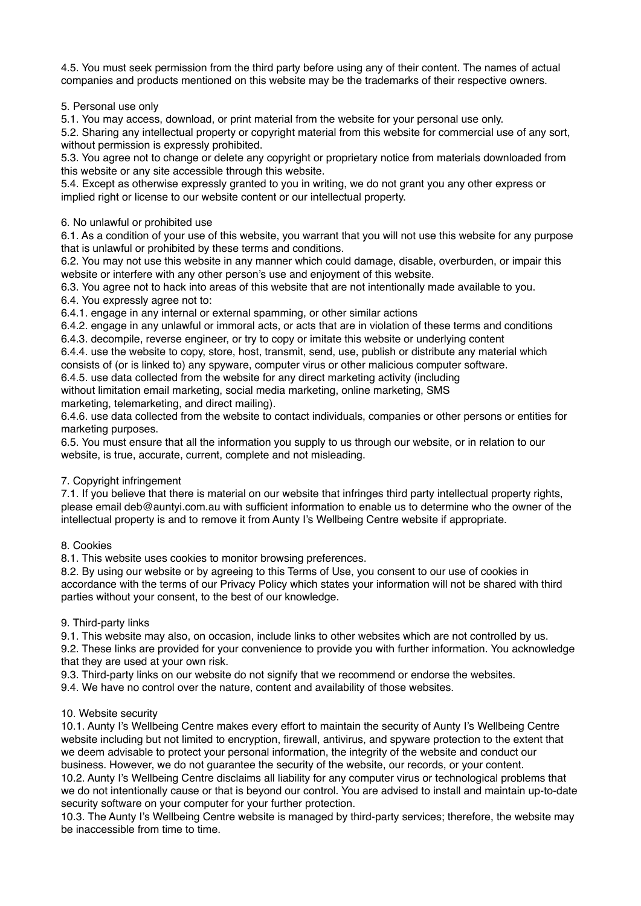4.5. You must seek permission from the third party before using any of their content. The names of actual companies and products mentioned on this website may be the trademarks of their respective owners.

5. Personal use only

5.1. You may access, download, or print material from the website for your personal use only.

5.2. Sharing any intellectual property or copyright material from this website for commercial use of any sort, without permission is expressly prohibited.

5.3. You agree not to change or delete any copyright or proprietary notice from materials downloaded from this website or any site accessible through this website.

5.4. Except as otherwise expressly granted to you in writing, we do not grant you any other express or implied right or license to our website content or our intellectual property.

## 6. No unlawful or prohibited use

6.1. As a condition of your use of this website, you warrant that you will not use this website for any purpose that is unlawful or prohibited by these terms and conditions.

6.2. You may not use this website in any manner which could damage, disable, overburden, or impair this website or interfere with any other person's use and enjoyment of this website.

6.3. You agree not to hack into areas of this website that are not intentionally made available to you. 6.4. You expressly agree not to:

6.4.1. engage in any internal or external spamming, or other similar actions

6.4.2. engage in any unlawful or immoral acts, or acts that are in violation of these terms and conditions 6.4.3. decompile, reverse engineer, or try to copy or imitate this website or underlying content

6.4.4. use the website to copy, store, host, transmit, send, use, publish or distribute any material which consists of (or is linked to) any spyware, computer virus or other malicious computer software.

6.4.5. use data collected from the website for any direct marketing activity (including without limitation email marketing, social media marketing, online marketing, SMS

marketing, telemarketing, and direct mailing).

6.4.6. use data collected from the website to contact individuals, companies or other persons or entities for marketing purposes.

6.5. You must ensure that all the information you supply to us through our website, or in relation to our website, is true, accurate, current, complete and not misleading.

# 7. Copyright infringement

7.1. If you believe that there is material on our website that infringes third party intellectual property rights, please email deb@auntyi.com.au with sufficient information to enable us to determine who the owner of the intellectual property is and to remove it from Aunty I's Wellbeing Centre website if appropriate.

## 8. Cookies

8.1. This website uses cookies to monitor browsing preferences.

8.2. By using our website or by agreeing to this Terms of Use, you consent to our use of cookies in accordance with the terms of our Privacy Policy which states your information will not be shared with third parties without your consent, to the best of our knowledge.

## 9. Third-party links

9.1. This website may also, on occasion, include links to other websites which are not controlled by us.

9.2. These links are provided for your convenience to provide you with further information. You acknowledge that they are used at your own risk.

9.3. Third-party links on our website do not signify that we recommend or endorse the websites.

9.4. We have no control over the nature, content and availability of those websites.

# 10. Website security

10.1. Aunty I's Wellbeing Centre makes every effort to maintain the security of Aunty I's Wellbeing Centre website including but not limited to encryption, firewall, antivirus, and spyware protection to the extent that we deem advisable to protect your personal information, the integrity of the website and conduct our business. However, we do not guarantee the security of the website, our records, or your content.

10.2. Aunty I's Wellbeing Centre disclaims all liability for any computer virus or technological problems that we do not intentionally cause or that is beyond our control. You are advised to install and maintain up-to-date security software on your computer for your further protection.

10.3. The Aunty I's Wellbeing Centre website is managed by third-party services; therefore, the website may be inaccessible from time to time.